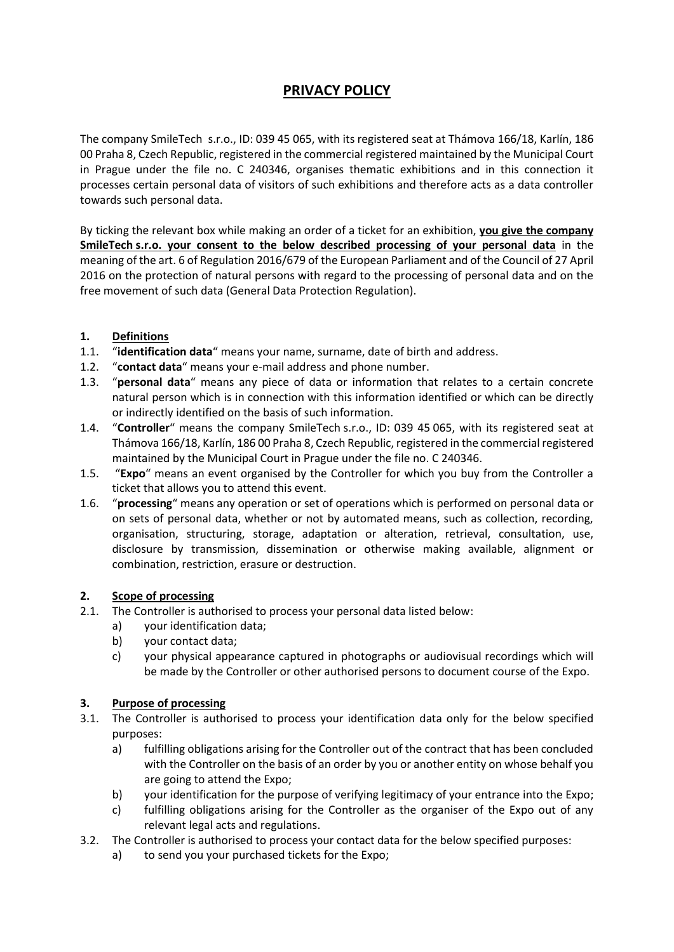# **PRIVACY POLICY**

The company SmileTech s.r.o., ID: 039 45 065, with its registered seat at Thámova 166/18, Karlín, 186 00 Praha 8, Czech Republic, registered in the commercial registered maintained by the Municipal Court in Prague under the file no. C 240346, organises thematic exhibitions and in this connection it processes certain personal data of visitors of such exhibitions and therefore acts as a data controller towards such personal data.

By ticking the relevant box while making an order of a ticket for an exhibition, **you give the company SmileTech s.r.o. your consent to the below described processing of your personal data** in the meaning of the art. 6 of Regulation 2016/679 of the European Parliament and of the Council of 27 April 2016 on the protection of natural persons with regard to the processing of personal data and on the free movement of such data (General Data Protection Regulation).

## **1. Definitions**

- 1.1. "**identification data**" means your name, surname, date of birth and address.
- 1.2. "**contact data**" means your e-mail address and phone number.
- 1.3. "**personal data**" means any piece of data or information that relates to a certain concrete natural person which is in connection with this information identified or which can be directly or indirectly identified on the basis of such information.
- 1.4. "**Controller**" means the company SmileTech s.r.o., ID: 039 45 065, with its registered seat at Thámova 166/18, Karlín, 186 00 Praha 8, Czech Republic, registered in the commercial registered maintained by the Municipal Court in Prague under the file no. C 240346.
- 1.5. "**Expo**" means an event organised by the Controller for which you buy from the Controller a ticket that allows you to attend this event.
- 1.6. "**processing**" means any operation or set of operations which is performed on personal data or on sets of personal data, whether or not by automated means, such as collection, recording, organisation, structuring, storage, adaptation or alteration, retrieval, consultation, use, disclosure by transmission, dissemination or otherwise making available, alignment or combination, restriction, erasure or destruction.

## **2. Scope of processing**

- 2.1. The Controller is authorised to process your personal data listed below:
	- a) your identification data;
		- b) your contact data;
		- c) your physical appearance captured in photographs or audiovisual recordings which will be made by the Controller or other authorised persons to document course of the Expo.

## **3. Purpose of processing**

- 3.1. The Controller is authorised to process your identification data only for the below specified purposes:
	- a) fulfilling obligations arising for the Controller out of the contract that has been concluded with the Controller on the basis of an order by you or another entity on whose behalf you are going to attend the Expo;
	- b) your identification for the purpose of verifying legitimacy of your entrance into the Expo;
	- c) fulfilling obligations arising for the Controller as the organiser of the Expo out of any relevant legal acts and regulations.
- 3.2. The Controller is authorised to process your contact data for the below specified purposes:
	- a) to send you your purchased tickets for the Expo;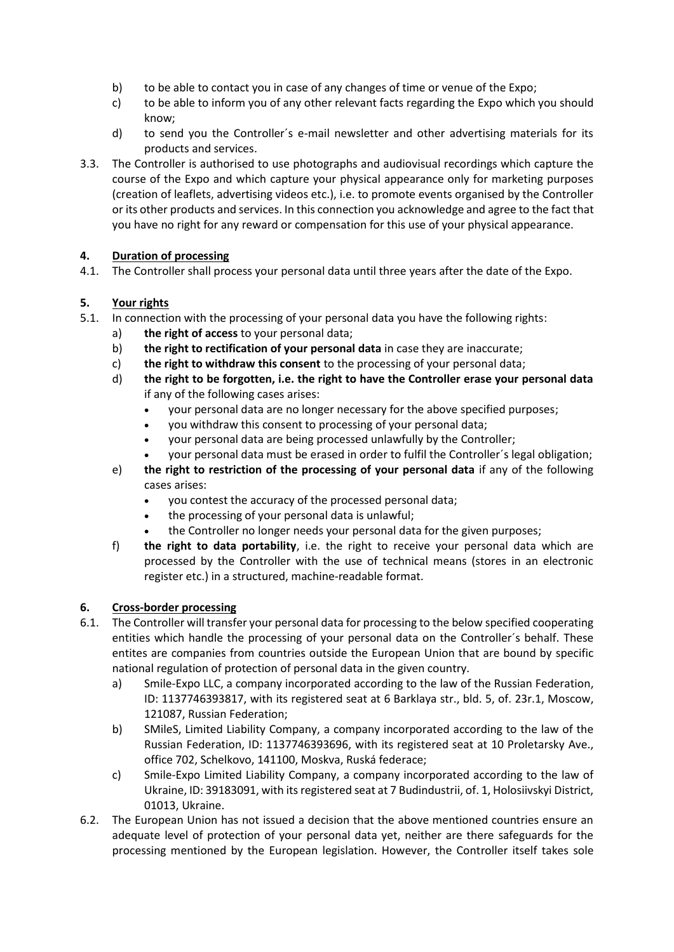- b) to be able to contact you in case of any changes of time or venue of the Expo;
- c) to be able to inform you of any other relevant facts regarding the Expo which you should know;
- d) to send you the Controller´s e-mail newsletter and other advertising materials for its products and services.
- 3.3. The Controller is authorised to use photographs and audiovisual recordings which capture the course of the Expo and which capture your physical appearance only for marketing purposes (creation of leaflets, advertising videos etc.), i.e. to promote events organised by the Controller or its other products and services. In this connection you acknowledge and agree to the fact that you have no right for any reward or compensation for this use of your physical appearance.

## **4. Duration of processing**

4.1. The Controller shall process your personal data until three years after the date of the Expo.

#### **5. Your rights**

- 5.1. In connection with the processing of your personal data you have the following rights:
	- a) **the right of access** to your personal data;
	- b) **the right to rectification of your personal data** in case they are inaccurate;
	- c) **the right to withdraw this consent** to the processing of your personal data;
	- d) **the right to be forgotten, i.e. the right to have the Controller erase your personal data**  if any of the following cases arises:
		- your personal data are no longer necessary for the above specified purposes;
		- you withdraw this consent to processing of your personal data;
		- your personal data are being processed unlawfully by the Controller;
		- your personal data must be erased in order to fulfil the Controller´s legal obligation;
	- e) **the right to restriction of the processing of your personal data** if any of the following cases arises:
		- you contest the accuracy of the processed personal data;
		- the processing of your personal data is unlawful;
		- the Controller no longer needs your personal data for the given purposes;
	- f) **the right to data portability**, i.e. the right to receive your personal data which are processed by the Controller with the use of technical means (stores in an electronic register etc.) in a structured, machine-readable format.

#### **6. Cross-border processing**

- 6.1. The Controller will transfer your personal data for processing to the below specified cooperating entities which handle the processing of your personal data on the Controller´s behalf. These entites are companies from countries outside the European Union that are bound by specific national regulation of protection of personal data in the given country.
	- a) Smile-Expo LLC, a company incorporated according to the law of the Russian Federation, ID: 1137746393817, with its registered seat at 6 Barklaya str., bld. 5, of. 23r.1, Moscow, 121087, Russian Federation;
	- b) SMileS, Limited Liability Company, a company incorporated according to the law of the Russian Federation, ID: 1137746393696, with its registered seat at 10 Proletarsky Ave., office 702, Schelkovo, 141100, Moskva, Ruská federace;
	- c) Smile-Expo Limited Liability Company, a company incorporated according to the law of Ukraine, ID: 39183091, with its registered seat at 7 Budindustrii, of. 1, Holosiivskyi District, 01013, Ukraine.
- 6.2. The European Union has not issued a decision that the above mentioned countries ensure an adequate level of protection of your personal data yet, neither are there safeguards for the processing mentioned by the European legislation. However, the Controller itself takes sole